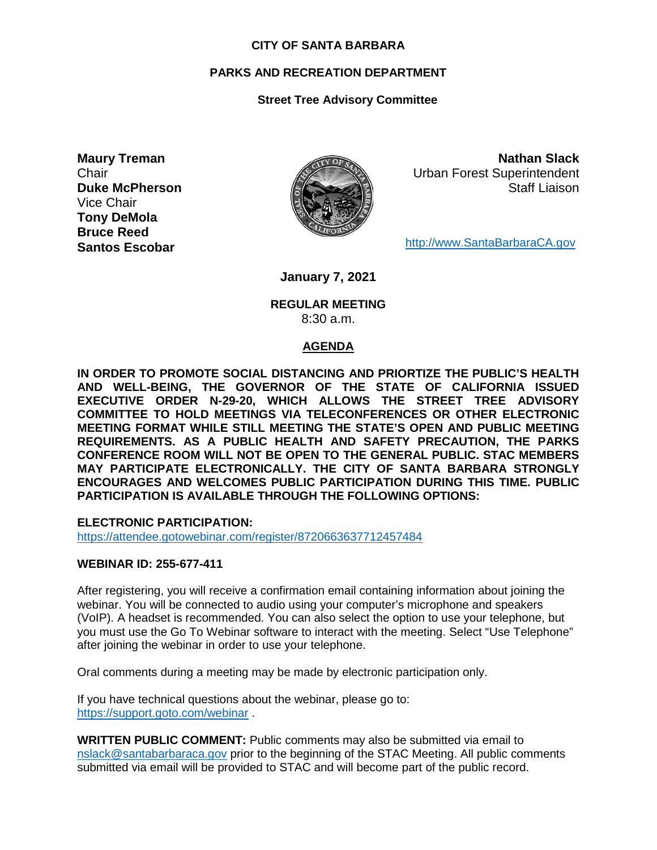#### **CITY OF SANTA BARBARA**

#### **PARKS AND RECREATION DEPARTMENT**

#### **Street Tree Advisory Committee**

**Maury Treman Chair Duke McPherson** Vice Chair **Tony DeMola Bruce Reed Santos Escobar**



**Nathan Slack** Urban Forest Superintendent Staff Liaison

[http://www.SantaBarbaraCA.gov](http://www.santabarbaraca.gov/)

**January 7, 2021**

#### **REGULAR MEETING** 8:30 a.m.

#### **AGENDA**

**IN ORDER TO PROMOTE SOCIAL DISTANCING AND PRIORTIZE THE PUBLIC'S HEALTH AND WELL-BEING, THE GOVERNOR OF THE STATE OF CALIFORNIA ISSUED EXECUTIVE ORDER N-29-20, WHICH ALLOWS THE STREET TREE ADVISORY COMMITTEE TO HOLD MEETINGS VIA TELECONFERENCES OR OTHER ELECTRONIC MEETING FORMAT WHILE STILL MEETING THE STATE'S OPEN AND PUBLIC MEETING REQUIREMENTS. AS A PUBLIC HEALTH AND SAFETY PRECAUTION, THE PARKS CONFERENCE ROOM WILL NOT BE OPEN TO THE GENERAL PUBLIC. STAC MEMBERS MAY PARTICIPATE ELECTRONICALLY. THE CITY OF SANTA BARBARA STRONGLY ENCOURAGES AND WELCOMES PUBLIC PARTICIPATION DURING THIS TIME. PUBLIC PARTICIPATION IS AVAILABLE THROUGH THE FOLLOWING OPTIONS:**

**ELECTRONIC PARTICIPATION:** 

<https://attendee.gotowebinar.com/register/8720663637712457484>

#### **WEBINAR ID: 255-677-411**

After registering, you will receive a confirmation email containing information about joining the webinar. You will be connected to audio using your computer's microphone and speakers (VoIP). A headset is recommended. You can also select the option to use your telephone, but you must use the Go To Webinar software to interact with the meeting. Select "Use Telephone" after joining the webinar in order to use your telephone.

Oral comments during a meeting may be made by electronic participation only.

If you have technical questions about the webinar, please go to: <https://support.goto.com/webinar> .

**WRITTEN PUBLIC COMMENT:** Public comments may also be submitted via email to [nslack@santabarbaraca.gov](mailto:nslack@santabarbaraca.gov) prior to the beginning of the STAC Meeting. All public comments submitted via email will be provided to STAC and will become part of the public record.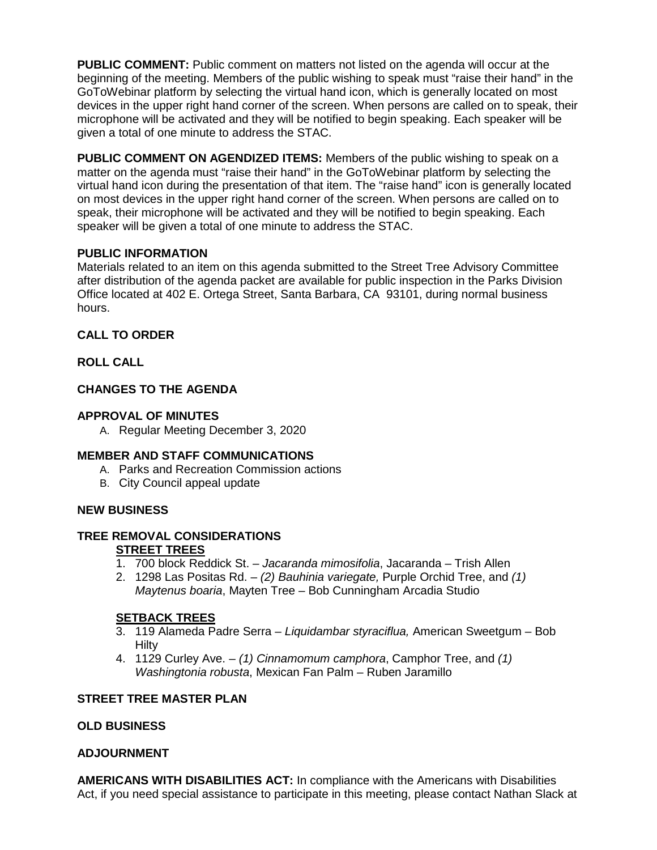**PUBLIC COMMENT:** Public comment on matters not listed on the agenda will occur at the beginning of the meeting. Members of the public wishing to speak must "raise their hand" in the GoToWebinar platform by selecting the virtual hand icon, which is generally located on most devices in the upper right hand corner of the screen. When persons are called on to speak, their microphone will be activated and they will be notified to begin speaking. Each speaker will be given a total of one minute to address the STAC.

**PUBLIC COMMENT ON AGENDIZED ITEMS:** Members of the public wishing to speak on a matter on the agenda must "raise their hand" in the GoToWebinar platform by selecting the virtual hand icon during the presentation of that item. The "raise hand" icon is generally located on most devices in the upper right hand corner of the screen. When persons are called on to speak, their microphone will be activated and they will be notified to begin speaking. Each speaker will be given a total of one minute to address the STAC.

## **PUBLIC INFORMATION**

Materials related to an item on this agenda submitted to the Street Tree Advisory Committee after distribution of the agenda packet are available for public inspection in the Parks Division Office located at 402 E. Ortega Street, Santa Barbara, CA 93101, during normal business hours.

# **CALL TO ORDER**

# **ROLL CALL**

# **CHANGES TO THE AGENDA**

# **APPROVAL OF MINUTES**

A. Regular Meeting December 3, 2020

## **MEMBER AND STAFF COMMUNICATIONS**

- A. Parks and Recreation Commission actions
- B. City Council appeal update

## **NEW BUSINESS**

# **TREE REMOVAL CONSIDERATIONS**

# **STREET TREES**

- 1. 700 block Reddick St. *Jacaranda mimosifolia*, Jacaranda Trish Allen
- 2. 1298 Las Positas Rd. *(2) Bauhinia variegate,* Purple Orchid Tree, and *(1) Maytenus boaria*, Mayten Tree – Bob Cunningham Arcadia Studio

## **SETBACK TREES**

- 3. 119 Alameda Padre Serra *Liquidambar styraciflua,* American Sweetgum Bob Hilty
- 4. 1129 Curley Ave. *(1) Cinnamomum camphora*, Camphor Tree, and *(1) Washingtonia robusta*, Mexican Fan Palm – Ruben Jaramillo

## **STREET TREE MASTER PLAN**

## **OLD BUSINESS**

## **ADJOURNMENT**

**AMERICANS WITH DISABILITIES ACT:** In compliance with the Americans with Disabilities Act, if you need special assistance to participate in this meeting, please contact Nathan Slack at